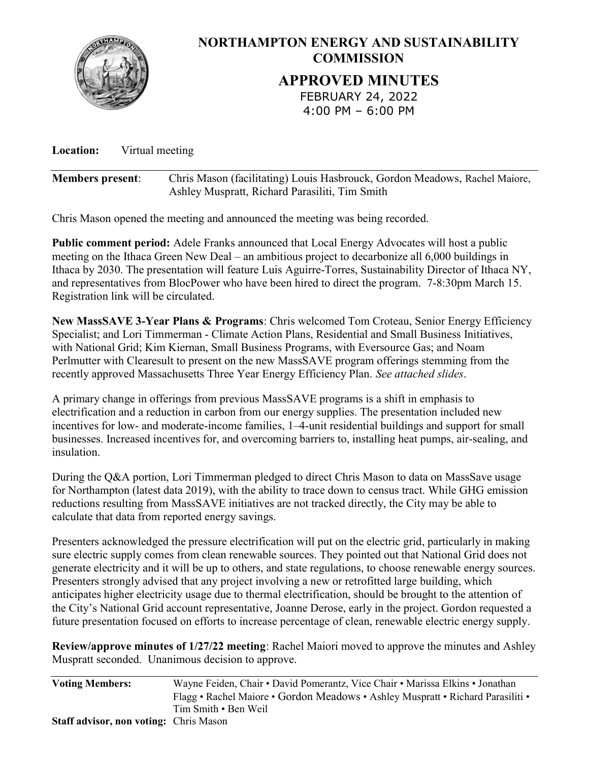

Location: Virtual meeting

| <b>Members present:</b> | Chris Mason (facilitating) Louis Hasbrouck, Gordon Meadows, Rachel Maiore, |
|-------------------------|----------------------------------------------------------------------------|
|                         | Ashley Muspratt, Richard Parasiliti, Tim Smith                             |

Chris Mason opened the meeting and announced the meeting was being recorded.

Public comment period: Adele Franks announced that Local Energy Advocates will host a public meeting on the Ithaca Green New Deal – an ambitious project to decarbonize all 6,000 buildings in Ithaca by 2030. The presentation will feature Luis Aguirre-Torres, Sustainability Director of Ithaca NY, and representatives from BlocPower who have been hired to direct the program. 7-8:30pm March 15. Registration link will be circulated.

New MassSAVE 3-Year Plans & Programs: Chris welcomed Tom Croteau, Senior Energy Efficiency Specialist; and Lori Timmerman - Climate Action Plans, Residential and Small Business Initiatives, with National Grid; Kim Kiernan, Small Business Programs, with Eversource Gas; and Noam Perlmutter with Clearesult to present on the new MassSAVE program offerings stemming from the recently approved Massachusetts Three Year Energy Efficiency Plan. See attached slides.

A primary change in offerings from previous MassSAVE programs is a shift in emphasis to electrification and a reduction in carbon from our energy supplies. The presentation included new incentives for low- and moderate-income families, 1–4-unit residential buildings and support for small businesses. Increased incentives for, and overcoming barriers to, installing heat pumps, air-sealing, and insulation.

During the Q&A portion, Lori Timmerman pledged to direct Chris Mason to data on MassSave usage for Northampton (latest data 2019), with the ability to trace down to census tract. While GHG emission reductions resulting from MassSAVE initiatives are not tracked directly, the City may be able to calculate that data from reported energy savings.

Presenters acknowledged the pressure electrification will put on the electric grid, particularly in making sure electric supply comes from clean renewable sources. They pointed out that National Grid does not generate electricity and it will be up to others, and state regulations, to choose renewable energy sources. Presenters strongly advised that any project involving a new or retrofitted large building, which anticipates higher electricity usage due to thermal electrification, should be brought to the attention of the City's National Grid account representative, Joanne Derose, early in the project. Gordon requested a future presentation focused on efforts to increase percentage of clean, renewable electric energy supply.

Review/approve minutes of 1/27/22 meeting: Rachel Maiori moved to approve the minutes and Ashley Muspratt seconded. Unanimous decision to approve.

| <b>Voting Members:</b>                        | Wayne Feiden, Chair • David Pomerantz, Vice Chair • Marissa Elkins • Jonathan   |
|-----------------------------------------------|---------------------------------------------------------------------------------|
|                                               | Flagg • Rachel Maiore • Gordon Meadows • Ashley Muspratt • Richard Parasiliti • |
|                                               | Tim Smith • Ben Weil                                                            |
| <b>Staff advisor, non voting: Chris Mason</b> |                                                                                 |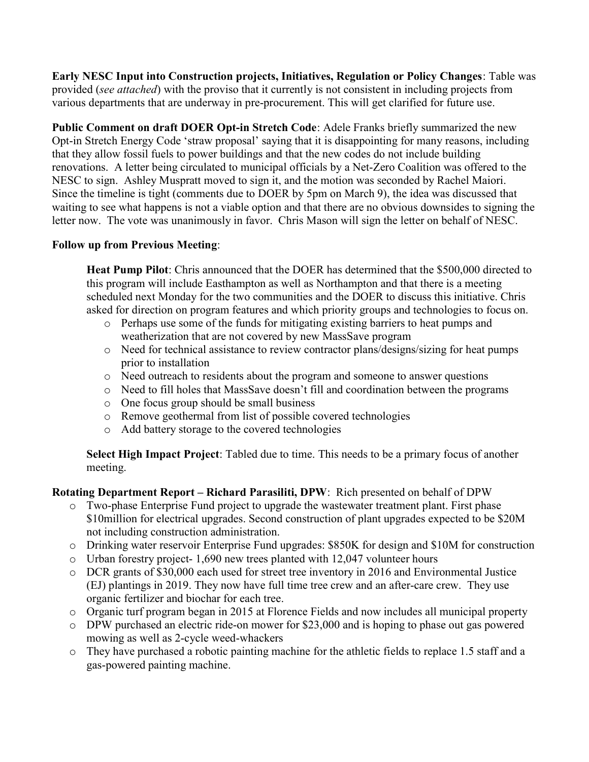Early NESC Input into Construction projects, Initiatives, Regulation or Policy Changes: Table was provided (see attached) with the proviso that it currently is not consistent in including projects from various departments that are underway in pre-procurement. This will get clarified for future use.

Public Comment on draft DOER Opt-in Stretch Code: Adele Franks briefly summarized the new Opt-in Stretch Energy Code 'straw proposal' saying that it is disappointing for many reasons, including that they allow fossil fuels to power buildings and that the new codes do not include building renovations. A letter being circulated to municipal officials by a Net-Zero Coalition was offered to the NESC to sign. Ashley Muspratt moved to sign it, and the motion was seconded by Rachel Maiori. Since the timeline is tight (comments due to DOER by 5pm on March 9), the idea was discussed that waiting to see what happens is not a viable option and that there are no obvious downsides to signing the letter now. The vote was unanimously in favor. Chris Mason will sign the letter on behalf of NESC.

## Follow up from Previous Meeting:

Heat Pump Pilot: Chris announced that the DOER has determined that the \$500,000 directed to this program will include Easthampton as well as Northampton and that there is a meeting scheduled next Monday for the two communities and the DOER to discuss this initiative. Chris asked for direction on program features and which priority groups and technologies to focus on.

- o Perhaps use some of the funds for mitigating existing barriers to heat pumps and weatherization that are not covered by new MassSave program
- o Need for technical assistance to review contractor plans/designs/sizing for heat pumps prior to installation
- o Need outreach to residents about the program and someone to answer questions
- o Need to fill holes that MassSave doesn't fill and coordination between the programs
- o One focus group should be small business
- o Remove geothermal from list of possible covered technologies
- o Add battery storage to the covered technologies

Select High Impact Project: Tabled due to time. This needs to be a primary focus of another meeting.

Rotating Department Report – Richard Parasiliti, DPW: Rich presented on behalf of DPW

- o Two-phase Enterprise Fund project to upgrade the wastewater treatment plant. First phase \$10million for electrical upgrades. Second construction of plant upgrades expected to be \$20M not including construction administration.
- o Drinking water reservoir Enterprise Fund upgrades: \$850K for design and \$10M for construction
- o Urban forestry project- 1,690 new trees planted with 12,047 volunteer hours
- o DCR grants of \$30,000 each used for street tree inventory in 2016 and Environmental Justice (EJ) plantings in 2019. They now have full time tree crew and an after-care crew. They use organic fertilizer and biochar for each tree.
- o Organic turf program began in 2015 at Florence Fields and now includes all municipal property
- o DPW purchased an electric ride-on mower for \$23,000 and is hoping to phase out gas powered mowing as well as 2-cycle weed-whackers
- o They have purchased a robotic painting machine for the athletic fields to replace 1.5 staff and a gas-powered painting machine.